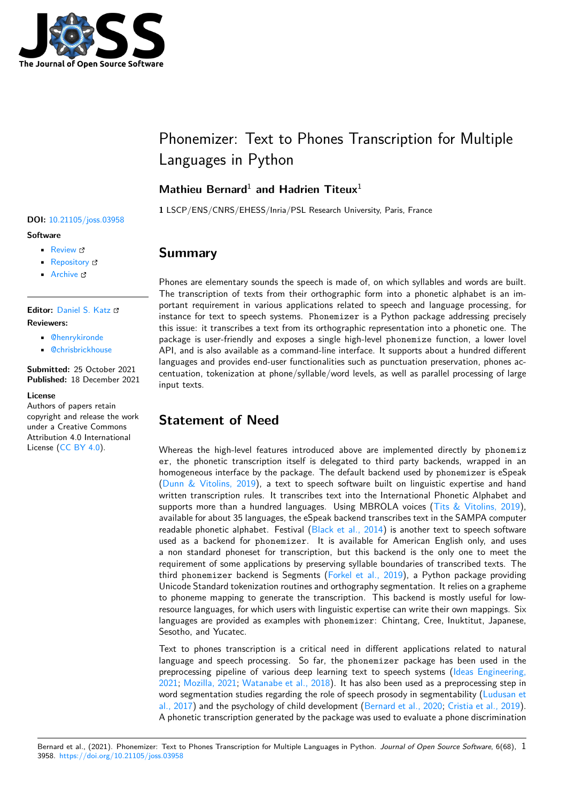

# Phonemizer: Text to Phones Transcription for Multiple Languages in Python

### **Mathieu Bernard**<sup>1</sup> **and Hadrien Titeux**<sup>1</sup>

**1** LSCP/ENS/CNRS/EHESS/Inria/PSL Research University, Paris, France

# **Summary**

Phones are elementary sounds the speech is made of, on which syllables and words are built. The transcription of texts from their orthographic form into a phonetic alphabet is an important requirement in various applications related to speech and language processing, for instance for text to speech systems. Phonemizer is a Python package addressing precisely this issue: it transcribes a text from its orthographic representation into a phonetic one. The package is user-friendly and exposes a single high-level phonemize function, a lower lovel API, and is also available as a command-line interface. It supports about a hundred different languages and provides end-user functionalities such as punctuation preservation, phones accentuation, tokenization at phone/syllable/word levels, as well as parallel processing of large input texts.

# **Statement of Need**

Whereas the high-level features introduced above are implemented directly by phonemiz er, the phonetic transcription itself is delegated to third party backends, wrapped in an homogeneous interface by the package. The default backend used by phonemizer is eSpeak (Dunn & Vitolins, 2019), a text to speech software built on linguistic expertise and hand written transcription rules. It transcribes text into the International Phonetic Alphabet and supports more than a hundred languages. Using MBROLA voices (Tits  $&$  Vitolins, 2019), available for about 35 languages, the eSpeak backend transcribes text in the SAMPA computer r[eadable phonetic alphab](#page-2-0)et. Festival (Black et al., 2014) is another text to speech software used as a backend for phonemizer. It is available for American English only, and uses a non standard phoneset for transcription, but this backend is th[e only one to meet th](#page-2-1)e requirement of some applications by preserving syllable boundaries of transcribed texts. The third phonemizer backend is Segme[nts \(Forkel et al.,](#page-1-0) 2019), a Python package providing Unicode Standard tokenization routines and orthography segmentation. It relies on a grapheme to phoneme mapping to generate the transcription. This backend is mostly useful for lowresource languages, for which users with linguistic expertise can write their own mappings. Six languages are provided as examples with [phonemizer](#page-2-2): Chintang, Cree, Inuktitut, Japanese, Sesotho, and Yucatec.

Text to phones transcription is a critical need in different applications related to natural language and speech processing. So far, the phonemizer package has been used in the preprocessing pipeline of various deep learning text to speech systems (Ideas Engineering, 2021; Mozilla, 2021; Watanabe et al., 2018). It has also been used as a preprocessing step in word segmentation studies regarding the role of speech prosody in segmentability (Ludusan et al., 2017) and the psychology of child development (Bernard et al., 2020; Cristia et al., 2019). A phonetic transcription generated by the package was used to evaluate a p[hone discrimination](#page-2-3)

#### Bernard et al., (2021). Phonemizer: Text to Phones Transcription for Multiple Languages in Python. *[Journal of Open So](#page-1-1)[urce Software](#page-1-2)*[, 6\(68\),](#page-2-4) 13958. https://doi.org/10.21105/jos[s.03958](#page-2-4)

#### **DOI:** 10.21105/joss.03958

#### **Software**

- Review L'
- [Repository](https://doi.org/10.21105/joss.03958)  $C$
- Archive

#### **Editor:** [Daniel S.](https://github.com/bootphon/phonemizer) Katz

#### **Revie[wers:](https://doi.org/10.5281/zenodo.5791097)**

- @henrykironde
- @[chrisbrickhouse](http://danielskatz.org/)

**Submitted:** 25 October 2021 **Published:** [18 Decem](https://github.com/henrykironde)ber 2021

#### **License**

Autho[rs of papers retain](https://github.com/chrisbrickhouse) copyright and release the work under a Creative Commons Attribution 4.0 International License (CC BY 4.0).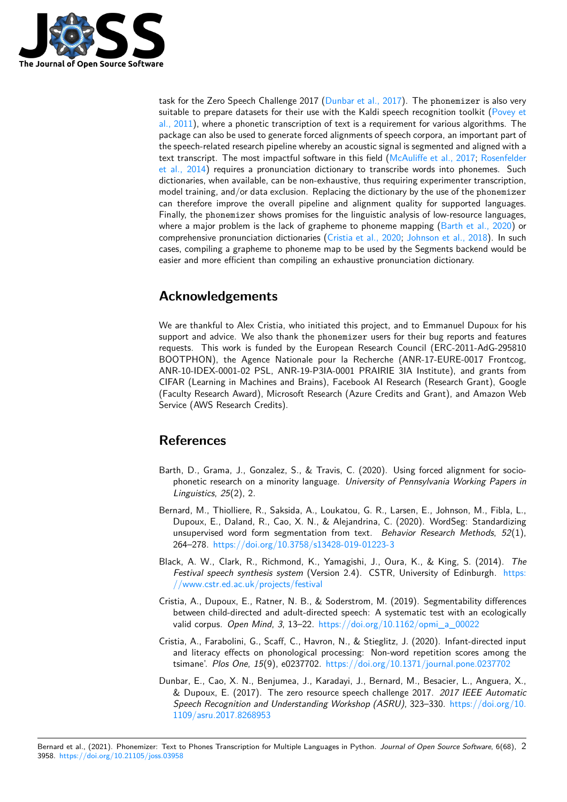

task for the Zero Speech Challenge 2017 (Dunbar et al., 2017). The phonemizer is also very suitable to prepare datasets for their use with the Kaldi speech recognition toolkit (Povey et al., 2011), where a phonetic transcription of text is a requirement for various algorithms. The package can also be used to generate forced alignments of speech corpora, an important part of the speech-related research pipeline where[by an acoustic signal](#page-1-3) is segmented and aligned with a text transcript. The most impactful software in this field (McAuliffe et al., 2017; Ro[senfelder](#page-2-5) [et al., 20](#page-2-5)14) requires a pronunciation dictionary to transcribe words into phonemes. Such dictionaries, when available, can be non-exhaustive, thus requiring experimenter transcription, model training, and/or data exclusion. Replacing the dictionary by the use of the phonemizer can therefore improve the overall pipeline and alignmen[t quality for supporte](#page-2-6)d [languages.](#page-2-7) [Finally, the](#page-2-7) phonemizer shows promises for the linguistic analysis of low-resource languages, where a major problem is the lack of grapheme to phoneme mapping  $(Barth et al., 2020)$  or comprehensive pronunciation dictionaries (Cristia et al., 2020; Johnson et al., 2018). In such cases, compiling a grapheme to phoneme map to be used by the Segments backend would be easier and more efficient than compiling an exhaustive pronunciation dictionary.

# **Acknowledgements**

We are thankful to Alex Cristia, who initiated this project, and to Emmanuel Dupoux for his support and advice. We also thank the phonemizer users for their bug reports and features requests. This work is funded by the European Research Council (ERC-2011-AdG-295810 BOOTPHON), the Agence Nationale pour la Recherche (ANR-17-EURE-0017 Frontcog, ANR-10-IDEX-0001-02 PSL, ANR-19-P3IA-0001 PRAIRIE 3IA Institute), and grants from CIFAR (Learning in Machines and Brains), Facebook AI Research (Research Grant), Google (Faculty Research Award), Microsoft Research (Azure Credits and Grant), and Amazon Web Service (AWS Research Credits).

## **References**

- Barth, D., Grama, J., Gonzalez, S., & Travis, C. (2020). Using forced alignment for sociophonetic research on a minority language. *University of Pennsylvania Working Papers in Linguistics*, *25*(2), 2.
- Bernard, M., Thiolliere, R., Saksida, A., Loukatou, G. R., Larsen, E., Johnson, M., Fibla, L., Dupoux, E., Daland, R., Cao, X. N., & Alejandrina, C. (2020). WordSeg: Standardizing unsupervised word form segmentation from text. *Behavior Research Methods*, *52*(1), 264–278. https://doi.org/10.3758/s13428-019-01223-3
- <span id="page-1-1"></span>Black, A. W., Clark, R., Richmond, K., Yamagishi, J., Oura, K., & King, S. (2014). *The Festival speech synthesis system* (Version 2.4). CSTR, University of Edinburgh. https: //www.cs[tr.ed.ac.uk/projects/festival](https://doi.org/10.3758/s13428-019-01223-3)
- <span id="page-1-0"></span>Cristia, A., Dupoux, E., Ratner, N. B., & Soderstrom, M. (2019). Segmentability differences between child-directed and adult-directed speech: A systematic test with an ecolo[gically](https://www.cstr.ed.ac.uk/projects/festival) [valid corpus.](https://www.cstr.ed.ac.uk/projects/festival) *Open Mind*, *3*, 13–22. https://doi.org/10.1162/opmi\_a\_00022
- <span id="page-1-2"></span>Cristia, A., Farabolini, G., Scaff, C., Havron, N., & Stieglitz, J. (2020). Infant-directed input and literacy effects on phonological processing: Non-word repetition scores among the tsimane'. *Plos One*, *15*(9), e0237702. [https://doi.org/10.1371/journal.pone.0](https://doi.org/10.1162/opmi_a_00022)237702
- <span id="page-1-3"></span>Dunbar, E., Cao, X. N., Benjumea, J., Karadayi, J., Bernard, M., Besacier, L., Anguera, X., & Dupoux, E. (2017). The zero resource speech challenge 2017. *2017 IEEE Automatic Speech Recognition and Understandin[g Workshop \(ASRU\)](https://doi.org/10.1371/journal.pone.0237702)*, 323–330. https://doi.org/10. 1109/asru.2017.8268953